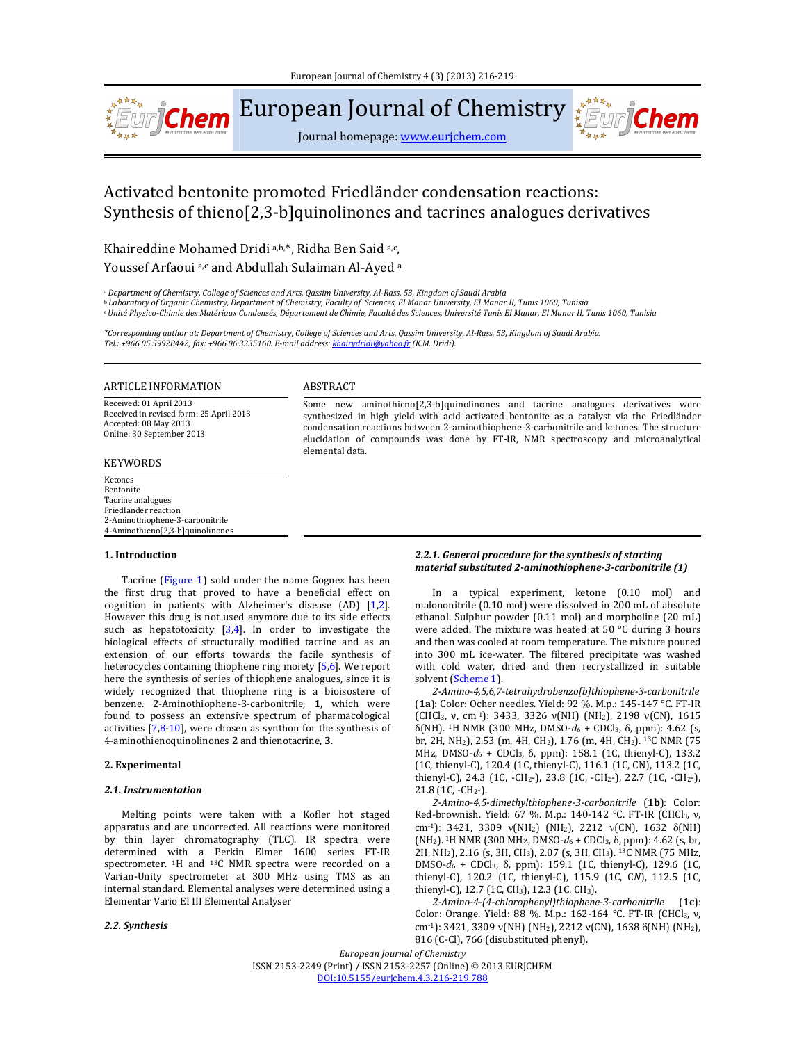

European Journal of Chemistry

Journal homepage: www.eurjchem.com

# Activated bentonite promoted Friedländer condensation reactions: Synthesis of thieno[2,3-b]quinolinones and tacrines analogues derivatives

Khaireddine Mohamed Dridi a,b,\*, Ridha Ben Said a,c, Youssef Arfaoui a,c and Abdullah Sulaiman Al-Ayed a

a Department of Chemistry, College of Sciences and Arts, Oassim University, Al-Rass, 53, Kingdom of Saudi Arabia **b Laboratory of Organic Chemistry, Department of Chemistry, Faculty of Sciences, El Manar University, El Manar II, Tunis 1060, Tunisia** « Unité Physico-Chimie des Matériaux Condensés, Département de Chimie, Faculté des Sciences, Université Tunis El Manar, El Manar II, Tunis 1060, Tunisia

\*Corresponding author at: Department of Chemistry, College of Sciences and Arts, Qassim University, Al-Rass, 53, Kingdom of Saudi Arabia. *Tel.: +966.05.59928442; fax: +966.06.3335160. E‐mail address: khairydridi@yahoo.fr (K.M. Dridi).*

elemental data.

## ARTICLE INFORMATION ABSTRACT

Received: 01 April 2013 Received in revised form: 25 April 2013 Accepted: 08 May 2013 Online: 30 September 2013

## **KEYWORDS**

#### Ketones Bentonite Tacrine analogues Friedlander reaction 2‐Aminothiophene‐3‐carbonitrile 4‐Aminothieno[2,3‐b]quinolinones

# **1. Introduction**

Tacrine (Figure 1) sold under the name Gognex has been the first drug that proved to have a beneficial effect on cognition in patients with Alzheimer's disease  $(AD)$   $[1,2]$ . However this drug is not used anymore due to its side effects such as hepatotoxicity  $[3,4]$ . In order to investigate the biological effects of structurally modified tacrine and as an extension of our efforts towards the facile synthesis of heterocycles containing thiophene ring moiety  $[5,6]$ . We report here the synthesis of series of thiophene analogues, since it is widely recognized that thiophene ring is a bioisostere of benzene. 2-Aminothiophene-3-carbonitrile, 1, which were found to possess an extensive spectrum of pharmacological activities  $[7,8-10]$ , were chosen as synthon for the synthesis of 4‐aminothienoquinolinones **2** and thienotacrine, **3**. 

## **2. Experimental**

## *2.1. Instrumentation*

Melting points were taken with a Kofler hot staged apparatus and are uncorrected. All reactions were monitored by thin layer chromatography (TLC). IR spectra were determined with a Perkin Elmer 1600 series FT-IR spectrometer. <sup>1</sup>H and <sup>13</sup>C NMR spectra were recorded on a Varian-Unity spectrometer at 300 MHz using TMS as an internal standard. Elemental analyses were determined using a Elementar Vario EI III Elemental Analyser 

## *2.2. Synthesis*

## *2.2.1. General procedure for the synthesis of starting material substituted 2‐aminothiophene‐3‐carbonitrile (1)*

\*\*\*\*

Some new aminothieno[2,3-b]quinolinones and tacrine analogues derivatives were synthesized in high yield with acid activated bentonite as a catalyst via the Friedländer condensation reactions between 2-aminothiophene-3-carbonitrile and ketones. The structure elucidation of compounds was done by FT-IR, NMR spectroscopy and microanalytical

> In a typical experiment, ketone (0.10 mol) and malononitrile (0.10 mol) were dissolved in 200 mL of absolute ethanol. Sulphur powder  $(0.11 \text{ mol})$  and morpholine  $(20 \text{ mL})$ were added. The mixture was heated at 50  $\degree$ C during 3 hours and then was cooled at room temperature. The mixture poured into 300 mL ice-water. The filtered precipitate was washed with cold water, dried and then recrystallized in suitable solvent (Scheme 1).

> *2‐Amino‐4,5,6,7‐tetrahydrobenzo[b]thiophene‐3‐carbonitrile* (1a): Color: Ocher needles. Yield: 92 %. M.p.: 145-147 °C. FT-IR (CHCl<sub>3</sub>, v, cm<sup>-1</sup>): 3433, 3326  $v(NH)$  (NH<sub>2</sub>), 2198  $v(CN)$ , 1615 δ(NH). <sup>1</sup>H NMR (300 MHz, DMSO- $d_6$  + CDCl<sub>3</sub>, δ, ppm): 4.62 (s, br, 2H, NH<sub>2</sub>), 2.53 (m, 4H, CH<sub>2</sub>), 1.76 (m, 4H, CH<sub>2</sub>). <sup>13</sup>C NMR (75 MHz, DMSO-d<sub>6</sub> + CDCl<sub>3</sub>, δ, ppm): 158.1 (1C, thienyl-C), 133.2 (1C, thienyl-C), 120.4 (1C, thienyl-C), 116.1 (1C, CN), 113.2 (1C, thienyl-C), 24.3 (1C, -CH<sub>2</sub>-), 23.8 (1C, -CH<sub>2</sub>-), 22.7 (1C, -CH<sub>2</sub>-),  $21.8$   $(1C, -CH_2)$ .

> *2‐Amino‐4,5‐dimethylthiophene‐3‐carbonitrile* (**1b**): Color: Red-brownish. Yield: 67 %. M.p.: 140-142 °C. FT-IR (CHCl3, ν, cm<sup>-1</sup>): 3421, 3309  $v(NH_2)$  (NH<sub>2</sub>), 2212  $v(CN)$ , 1632  $\delta(NH)$ (NH<sub>2</sub>). <sup>1</sup>H NMR (300 MHz, DMSO- $d_6$  + CDCl<sub>3</sub>, δ, ppm): 4.62 (s, br, 2H, NH<sub>2</sub>), 2.16 (s, 3H, CH<sub>3</sub>), 2.07 (s, 3H, CH<sub>3</sub>). <sup>13</sup>C NMR (75 MHz, DMSO-d<sub>6</sub> + CDCl<sub>3</sub>, δ, ppm): 159.1 (1C, thienyl-C), 129.6 (1C, thienyl-C), 120.2 (1C, thienyl-C), 115.9 (1C, CN), 112.5 (1C, thienyl-C), 12.7 (1C, CH<sub>3</sub>), 12.3 (1C, CH<sub>3</sub>).

> *2‐Amino‐4‐(4‐chlorophenyl)thiophene‐3‐carbonitrile* (**1c**): Color: Orange. Yield: 88 %. M.p.: 162-164 °C. FT-IR (CHCl3, ν, cm<sup>-1</sup>): 3421, 3309 v(NH) (NH<sub>2</sub>), 2212 v(CN), 1638  $\delta$ (NH) (NH<sub>2</sub>), 816 (C-Cl), 766 (disubstituted phenyl).

*European Journal of Chemistry* ISSN 2153-2249 (Print) / ISSN 2153-2257 (Online) © 2013 EURJCHEM DOI:10.5155/eurjchem.4.3.216‐219.788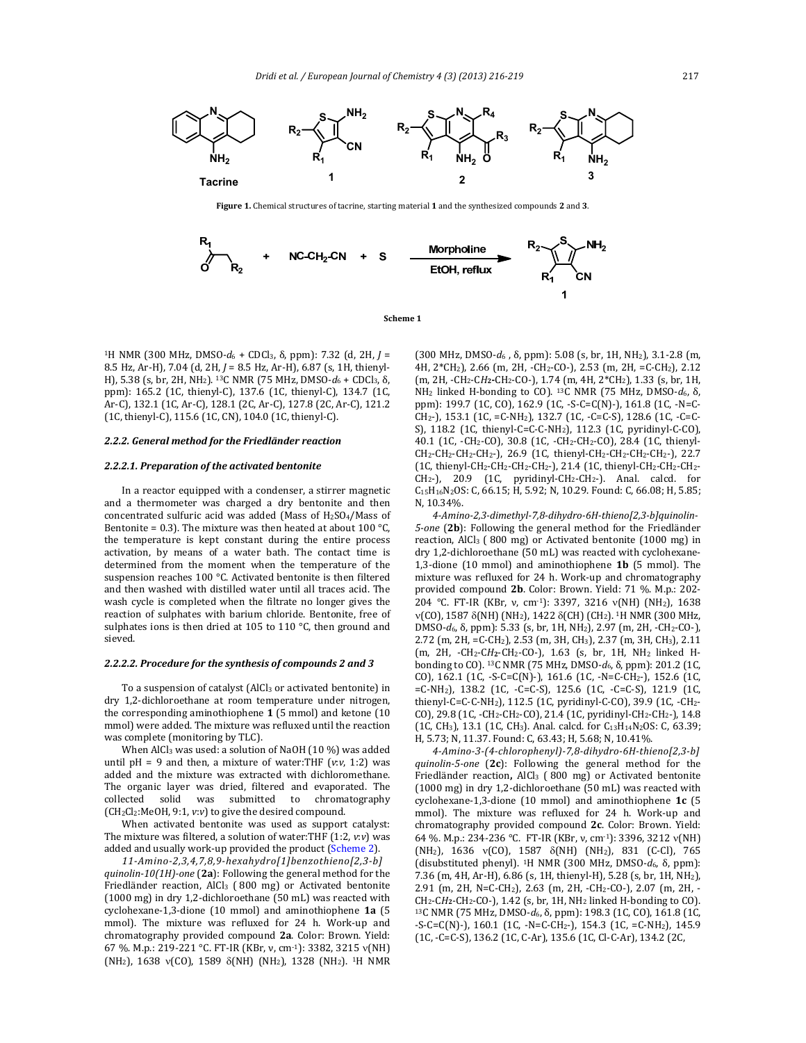

**Figure** 1. Chemical structures of tacrine, starting material 1 and the synthesized compounds 2 and 3.



**Scheme 1**

<sup>1</sup>H NMR (300 MHz, DMSO- $d_6$  + CDCl<sub>3</sub>, δ, ppm): 7.32 (d, 2H, *J* = 8.5 Hz, Ar-H), 7.04 (d, 2H,  $J = 8.5$  Hz, Ar-H), 6.87 (s, 1H, thienyl-H), 5.38 (s, br, 2H, NH<sub>2</sub>). <sup>13</sup>C NMR (75 MHz, DMSO- $d_6$  + CDCl<sub>3</sub>, δ, ppm): 165.2 (1C, thienyl-C), 137.6 (1C, thienyl-C), 134.7 (1C, Ar-C), 132.1 (1C, Ar-C), 128.1 (2C, Ar-C), 127.8 (2C, Ar-C), 121.2 (1C, thienyl-C), 115.6 (1C, CN), 104.0 (1C, thienyl-C).

## *2.2.2. General method for the Friedländer reaction*

## *2.2.2.1. Preparation of the activated bentonite*

In a reactor equipped with a condenser, a stirrer magnetic and a thermometer was charged a dry bentonite and then concentrated sulfuric acid was added (Mass of  $H<sub>2</sub>SO<sub>4</sub>/M$ ass of Bentonite = 0.3). The mixture was then heated at about 100  $\degree$ C, the temperature is kept constant during the entire process activation, by means of a water bath. The contact time is determined from the moment when the temperature of the suspension reaches  $100 °C$ . Activated bentonite is then filtered and then washed with distilled water until all traces acid. The wash cycle is completed when the filtrate no longer gives the reaction of sulphates with barium chloride. Bentonite, free of sulphates ions is then dried at 105 to 110  $\degree$ C, then ground and sieved. 

### *2.2.2.2. Procedure for the synthesis of compounds 2 and 3*

To a suspension of catalyst (AlCl<sub>3</sub> or activated bentonite) in dry 1,2-dichloroethane at room temperature under nitrogen, the corresponding aminothiophene  $1$  (5 mmol) and ketone  $(10)$ mmol) were added. The mixture was refluxed until the reaction was complete (monitoring by TLC).

When AlCl<sub>3</sub> was used: a solution of NaOH  $(10\%)$  was added until  $pH = 9$  and then, a mixture of water:THF  $(v: v, 1:2)$  was added and the mixture was extracted with dichloromethane. The organic layer was dried, filtered and evaporated. The collected solid was submitted to chromatography (CH<sub>2</sub>Cl<sub>2</sub>:MeOH, 9:1, *v*:*v*) to give the desired compound.

When activated bentonite was used as support catalyst: The mixture was filtered, a solution of water:THF (1:2, *v*:*v*) was added and usually work-up provided the product (Scheme 2).

*11‐Amino‐2,3,4,7,8,9‐hexahydro[1]benzothieno[2,3‐b] quinolin*-10(1H)-one (2a): Following the general method for the Friedländer reaction, AlCl<sub>3</sub> ( $800$  mg) or Activated bentonite (1000 mg) in dry 1,2-dichloroethane (50 mL) was reacted with cyclohexane-1,3-dione (10 mmol) and aminothiophene 1a (5 mmol). The mixture was refluxed for 24 h. Work-up and chromatography provided compound 2a. Color: Brown. Yield: 67 %. M.p.: 219-221 °C. FT-IR (KBr, v, cm⋅1): 3382, 3215 v(NH) (NH<sub>2</sub>), 1638  $v(CO)$ , 1589  $\delta(NH)$  (NH<sub>2</sub>), 1328 (NH<sub>2</sub>). <sup>1</sup>H NMR

(300 MHz, DMSO‐*d*6 , δ, ppm): 5.08 (s, br, 1H, NH2), 3.1‐2.8 (m, 4H, 2\*CH<sub>2</sub>), 2.66 (m, 2H, -CH<sub>2</sub>-CO-), 2.53 (m, 2H, =C-CH<sub>2</sub>), 2.12 (m, 2H, -CH<sub>2</sub>-CH<sub>2</sub>-CH<sub>2</sub>-CO-), 1.74 (m, 4H, 2<sup>\*</sup>CH<sub>2</sub>), 1.33 (s, br, 1H, NH<sub>2</sub> linked H-bonding to CO). <sup>13</sup>C NMR (75 MHz, DMSO- $d_6$ , δ, ppm): 199.7 (1C, CO), 162.9 (1C, -S-C=C(N)-), 161.8 (1C, -N=C- $CH_2$ -), 153.1 (1C, =C-NH<sub>2</sub>), 132.7 (1C, -C=C-S), 128.6 (1C, -C=C-S), 118.2 (1C, thienyl-C=C-C-NH<sub>2</sub>), 112.3 (1C, pyridinyl-C-CO), 40.1 (1C, -CH<sub>2</sub>-CO), 30.8 (1C, -CH<sub>2</sub>-CH<sub>2</sub>-CO), 28.4 (1C, thienyl-CH2‐CH2‐CH2‐CH2‐), 26.9 (1C, thienyl‐CH2‐CH2‐CH2‐CH2‐), 22.7 (1C, thienyl-CH<sub>2</sub>-CH<sub>2</sub>-CH<sub>2</sub>-CH<sub>2</sub>-), 21.4 (1C, thienyl-CH<sub>2</sub>-CH<sub>2</sub>-CH<sub>2</sub>- $CH_2$ -), 20.9 (1C, pyridinyl-CH<sub>2</sub>-CH<sub>2</sub>-). Anal. calcd. for C<sub>15</sub>H<sub>16</sub>N<sub>2</sub>OS: C, 66.15; H, 5.92; N, 10.29. Found: C, 66.08; H, 5.85; N, 10.34%.

*4‐Amino‐2,3‐dimethyl‐7,8‐dihydro‐6H‐thieno[2,3‐b]quinolin‐* 5-one (2b): Following the general method for the Friedländer reaction, AlCl<sub>3</sub> ( $800 \text{ mg}$ ) or Activated bentonite  $(1000 \text{ mg})$  in dry 1,2-dichloroethane (50 mL) was reacted with cyclohexane-1,3-dione (10 mmol) and aminothiophene **1b** (5 mmol). The mixture was refluxed for 24 h. Work-up and chromatography provided compound 2b. Color: Brown. Yield: 71 %. M.p.: 202-204 °C. FT-IR (KBr, v, cm<sup>-1</sup>): 3397, 3216 v(NH) (NH<sub>2</sub>), 1638  $v(CO)$ , 1587  $\delta(NH)$  (NH<sub>2</sub>), 1422  $\delta$ (CH) (CH<sub>2</sub>). <sup>1</sup>H NMR (300 MHz, DMSO-d<sub>6</sub>, δ, ppm): 5.33 (s, br, 1H, NH<sub>2</sub>), 2.97 (m, 2H, -CH<sub>2</sub>-CO-), 2.72 (m, 2H, =C-CH<sub>2</sub>), 2.53 (m, 3H, CH<sub>3</sub>), 2.37 (m, 3H, CH<sub>3</sub>), 2.11 (m, 2H, -CH<sub>2</sub>-CH<sub>2</sub>-CH<sub>2</sub>-CO-), 1.63 (s, br, 1H, NH<sub>2</sub> linked Hbonding to CO). <sup>13</sup>C NMR (75 MHz, DMSO-d<sub>6</sub>, δ, ppm): 201.2 (1C, CO), 162.1 (1C, -S-C=C(N)-), 161.6 (1C, -N=C-CH2-), 152.6 (1C, =C‐NH2), 138.2 (1C, ‐C=C‐S), 125.6 (1C, ‐C=C‐S), 121.9 (1C, thienyl-C=C-C-NH<sub>2</sub>), 112.5 (1C, pyridinyl-C-CO), 39.9 (1C, -CH<sub>2</sub>-CO), 29.8 (1C, -CH<sub>2</sub>-CH<sub>2</sub>-CO), 21.4 (1C, pyridinyl-CH<sub>2</sub>-CH<sub>2</sub>-), 14.8 (1C, CH<sub>3</sub>), 13.1 (1C, CH<sub>3</sub>). Anal. calcd. for  $C_{13}H_{14}N_2OS$ : C, 63.39; H, 5.73; N, 11.37. Found: C, 63.43; H, 5.68; N, 10.41%.

*4‐Amino‐3‐(4‐chlorophenyl)‐7,8‐dihydro‐6H‐thieno[2,3‐b] quinolin-5-one* (2c): Following the general method for the Friedländer reaction, AlCl<sub>3</sub> (800 mg) or Activated bentonite (1000 mg) in dry 1,2-dichloroethane (50 mL) was reacted with cyclohexane-1,3-dione (10 mmol) and aminothiophene 1c (5 mmol). The mixture was refluxed for 24 h. Work-up and chromatography provided compound 2c. Color: Brown. Yield: 64 %. M.p.: 234-236 °C. FT-IR (KBr, v, cm⋅1): 3396, 3212 v(NH) (NH<sub>2</sub>), 1636  $v(CO)$ , 1587  $\delta(NH)$  (NH<sub>2</sub>), 831 (C-Cl), 765 (disubstituted phenyl). 1H NMR (300 MHz, DMSO‐*d*6, δ, ppm): 7.36 (m, 4H, Ar-H), 6.86 (s, 1H, thienyl-H), 5.28 (s, br, 1H, NH<sub>2</sub>), 2.91 (m, 2H, N=C-CH<sub>2</sub>), 2.63 (m, 2H, -CH<sub>2</sub>-CO-), 2.07 (m, 2H, - $CH_2$ - $CH_2$ - $CH_2$ - $CO$ -), 1.42 (s, br, 1H, NH<sub>2</sub> linked H-bonding to  $CO$ ). <sup>13</sup>C NMR (75 MHz, DMSO-d<sub>6</sub>, δ, ppm): 198.3 (1C, CO), 161.8 (1C,  $-S-C=C(N)$ -), 160.1 (1C,  $-N=C-CH_2$ -), 154.3 (1C,  $=C-NH_2$ ), 145.9 (1C, ‐C=C‐S), 136.2 (1C, C‐Ar), 135.6 (1C, Cl‐C‐Ar), 134.2 (2C,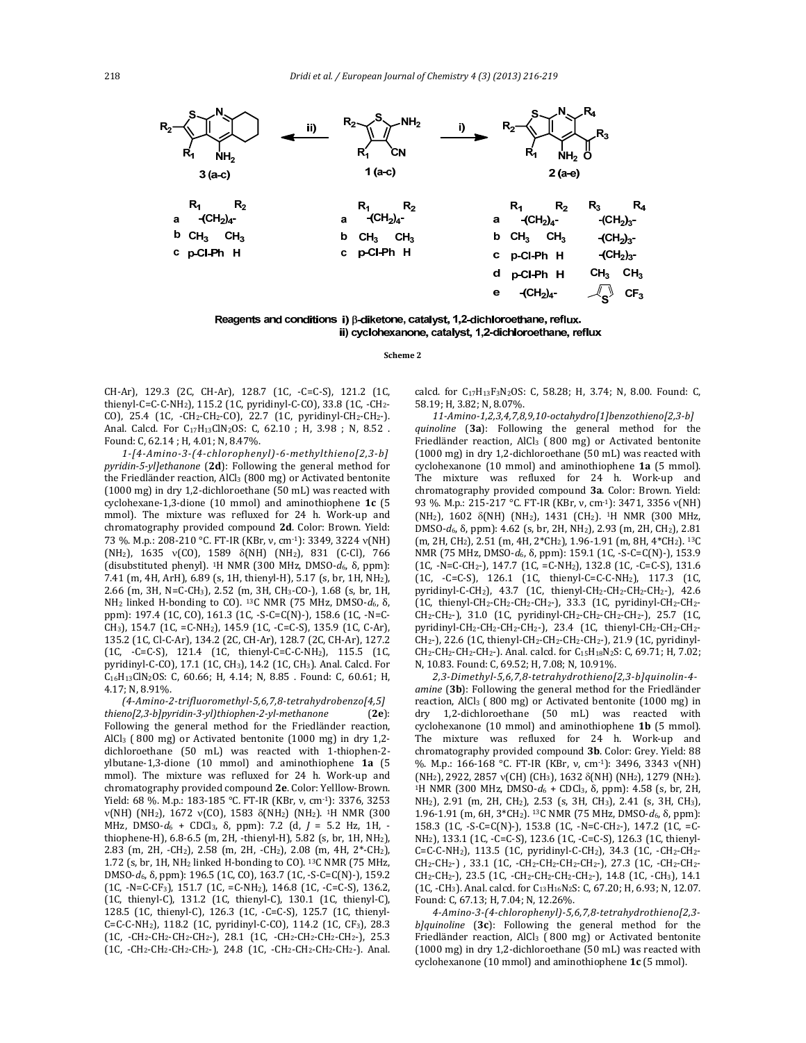

Reagents and conditions i)  $\beta$ -diketone, catalyst, 1,2-dichloroethane, reflux. ii) cyclohexanone, catalyst, 1,2-dichloroethane, reflux

**Scheme 2**

CH-Ar), 129.3 (2C, CH-Ar), 128.7 (1C, -C=C-S), 121.2 (1C, thienyl-C=C-C-NH<sub>2</sub>), 115.2 (1C, pyridinyl-C-CO), 33.8 (1C, -CH<sub>2</sub>-CO), 25.4 (1C, -CH<sub>2</sub>-CH<sub>2</sub>-CO), 22.7 (1C, pyridinyl-CH<sub>2</sub>-CH<sub>2</sub>-). Anal. Calcd. For C<sub>17</sub>H<sub>13</sub>ClN<sub>2</sub>OS: C, 62.10 ; H, 3.98 ; N, 8.52 . Found: C, 62.14 ; H, 4.01; N, 8.47%.

*1‐[4‐Amino‐3‐(4‐chlorophenyl)‐6‐methylthieno[2,3‐b] pyridin‐5‐yl]ethanone* (**2d**): Following the general method for the Friedländer reaction, AlCl<sub>3</sub> (800 mg) or Activated bentonite  $(1000 \text{ mg})$  in dry 1,2-dichloroethane  $(50 \text{ mL})$  was reacted with cyclohexane-1,3-dione (10 mmol) and aminothiophene **1c** (5 mmol). The mixture was refluxed for 24 h. Work-up and chromatography provided compound 2d. Color: Brown. Yield: 73 %. M.p.: 208-210 ℃. FT-IR (KBr, v, cm-1): 3349, 3224 v(NH)  $(NH_2)$ , 1635 v(CO), 1589  $\delta(NH)$  (NH<sub>2</sub>), 831 (C-Cl), 766 (disubstituted phenyl). 1H NMR (300 MHz, DMSO‐*d*6, δ, ppm): 7.41 (m, 4H, ArH), 6.89 (s, 1H, thienyl-H), 5.17 (s, br, 1H, NH<sub>2</sub>), 2.66 (m, 3H, N=C-CH<sub>3</sub>), 2.52 (m, 3H, CH<sub>3</sub>-CO-), 1.68 (s, br, 1H, NH<sub>2</sub> linked H-bonding to CO). <sup>13</sup>C NMR (75 MHz, DMSO-d<sub>6</sub>, δ, ppm): 197.4 (1C, CO), 161.3 (1C, -S-C=C(N)-), 158.6 (1C, -N=C-CH<sub>3</sub>), 154.7 (1C, =C-NH<sub>2</sub>), 145.9 (1C, -C=C-S), 135.9 (1C, C-Ar), 135.2 (1C, Cl‐C‐Ar), 134.2 (2C, CH‐Ar), 128.7 (2C, CH‐Ar), 127.2 (1C, ‐C=C‐S), 121.4 (1C, thienyl‐C=C‐C‐NH2), 115.5 (1C, pyridinyl‐C‐CO), 17.1 (1C, CH<sub>3</sub>), 14.2 (1C, CH<sub>3</sub>). Anal. Calcd. For C<sub>16</sub>H<sub>13</sub>ClN<sub>2</sub>OS: C, 60.66; H, 4.14; N, 8.85 . Found: C, 60.61; H, 4.17; N, 8.91%. 

*(4‐Amino‐2‐trifluoromethyl‐5,6,7,8‐tetrahydrobenzo[4,5] thieno[2,3‐b]pyridin‐3‐yl)thiophen‐2‐yl‐methanone* (**2e**): Following the general method for the Friedländer reaction, AlCl<sub>3</sub> (800 mg) or Activated bentonite (1000 mg) in dry 1,2dichloroethane (50 mL) was reacted with 1-thiophen-2ylbutane‐1,3‐dione (10 mmol) and aminothiophene **1a** (5 mmol). The mixture was refluxed for 24 h. Work-up and chromatography provided compound 2e. Color: Yelllow-Brown. Yield: 68 %. M.p.: 183-185 °C. FT-IR (KBr, v, cm-1): 3376, 3253  $v(NH)$  (NH<sub>2</sub>), 1672  $v(CO)$ , 1583  $\delta(NH_2)$  (NH<sub>2</sub>). <sup>1</sup>H NMR (300 MHz, DMSO-*d*<sub>6</sub> + CDCl<sub>3</sub>, δ, ppm): 7.2 (d, *J* = 5.2 Hz, 1H, thiophene-H), 6.8-6.5 (m, 2H, -thienyl-H), 5.82 (s, br, 1H, NH<sub>2</sub>), 2.83 (m, 2H, -CH<sub>2</sub>), 2.58 (m, 2H, -CH<sub>2</sub>), 2.08 (m, 4H, 2\*-CH<sub>2</sub>), 1.72 (s, br, 1H, NH<sub>2</sub> linked H-bonding to CO).  $^{13}$ C NMR (75 MHz, DMSO-d<sub>6</sub>, δ, ppm): 196.5 (1C, CO), 163.7 (1C, -S-C=C(N)-), 159.2  $(1C, -N=C-CF_3), 151.7 (1C, =C-NH_2), 146.8 (1C, -C=C-S), 136.2,$ (1C, thienyl-C), 131.2 (1C, thienyl-C), 130.1 (1C, thienyl-C), 128.5 (1C, thienyl-C), 126.3 (1C, -C=C-S), 125.7 (1C, thienyl-C=C-C-NH<sub>2</sub>), 118.2 (1C, pyridinyl-C-CO), 114.2 (1C, CF<sub>3</sub>), 28.3 (1C, ‐CH2‐CH2‐CH2‐CH2‐), 28.1 (1C, ‐CH2‐CH2‐CH2‐CH2‐), 25.3 (1C, -CH<sub>2</sub>-CH<sub>2</sub>-CH<sub>2</sub>-CH<sub>2</sub>-), 24.8 (1C, -CH<sub>2</sub>-CH<sub>2</sub>-CH<sub>2</sub>-CH<sub>2</sub>-). Anal. calcd. for C<sub>17</sub>H<sub>13</sub>F<sub>3</sub>N<sub>2</sub>OS: C, 58.28; H, 3.74; N, 8.00. Found: C, 58.19; H, 3.82; N, 8.07%.

*11‐Amino‐1,2,3,4,7,8,9,10‐octahydro[1]benzothieno[2,3‐b] quinoline* (**3a**): Following the general method for the Friedländer reaction, AlCl<sub>3</sub> (800 mg) or Activated bentonite (1000 mg) in dry 1,2-dichloroethane (50 mL) was reacted with cyclohexanone (10 mmol) and aminothiophene **1a** (5 mmol). The mixture was refluxed for 24 h. Work-up and chromatography provided compound **3a**. Color: Brown. Yield: 93 %. M.p.: 215-217 °C. FT-IR (KBr, v, cm⋅1): 3471, 3356 v(NH)  $(NH_2)$ , 1602  $\delta(NH)$  (NH<sub>2</sub>), 1431 (CH<sub>2</sub>). <sup>1</sup>H NMR (300 MHz, DMSO-*d*<sub>6</sub>, δ, ppm): 4.62 (s, br, 2H, NH<sub>2</sub>), 2.93 (m, 2H, CH<sub>2</sub>), 2.81 (m, 2H, CH<sub>2</sub>), 2.51 (m, 4H, 2\*CH<sub>2</sub>), 1.96-1.91 (m, 8H, 4\*CH<sub>2</sub>). <sup>13</sup>C NMR (75 MHz, DMSO-d<sub>6</sub>, δ, ppm): 159.1 (1C, -S-C=C(N)-), 153.9 (1C, ‐N=C‐CH2‐), 147.7 (1C, =C‐NH2), 132.8 (1C, ‐C=C‐S), 131.6 (1C, ‐C=C‐S), 126.1 (1C, thienyl‐C=C‐C‐NH2), 117.3 (1C, pyridinyl‐C‐CH<sub>2</sub>), 43.7 (1C, thienyl‐CH<sub>2</sub>‐CH<sub>2</sub>‐CH<sub>2</sub>‐CH<sub>2</sub>‐), 42.6 (1C, thienyl-CH<sub>2</sub>-CH<sub>2</sub>-CH<sub>2</sub>-CH<sub>2</sub>-), 33.3 (1C, pyridinyl-CH<sub>2</sub>-CH<sub>2</sub>-CH<sub>2</sub>-CH<sub>2</sub>-), 31.0 (1C, pyridinyl-CH<sub>2</sub>-CH<sub>2</sub>-CH<sub>2</sub>-CH<sub>2</sub>-CH<sub>2</sub>-), 25.7 (1C, pyridinyl-CH<sub>2</sub>-CH<sub>2</sub>-CH<sub>2</sub>-CH<sub>2</sub>-CH<sub>2</sub>-), 23.4 (1C, thienyl-CH<sub>2</sub>-CH<sub>2</sub>-CH<sub>2</sub>-CH<sub>2</sub>-), 22.6 (1C, thienyl-CH<sub>2</sub>-CH<sub>2</sub>-CH<sub>2</sub>-CH<sub>2</sub>-), 21.9 (1C, pyridinyl-CH<sub>2</sub>-CH<sub>2</sub>-CH<sub>2</sub>-CH<sub>2</sub>-). Anal. calcd. for C<sub>15</sub>H<sub>18</sub>N<sub>2</sub>S: C, 69.71; H, 7.02; N, 10.83. Found: C, 69.52; H, 7.08; N, 10.91%.

*2,3‐Dimethyl‐5,6,7,8‐tetrahydrothieno[2,3‐b]quinolin‐4‐ amine* (3b): Following the general method for the Friedländer reaction, AlCl<sub>3</sub> (800 mg) or Activated bentonite (1000 mg) in dry 1,2-dichloroethane (50 mL) was reacted with cyclohexanone (10 mmol) and aminothiophene **1b** (5 mmol). The mixture was refluxed for 24 h. Work-up and chromatography provided compound 3b. Color: Grey. Yield: 88 %. M.p.: 166-168 °C. FT-IR (KBr, v, cm<sup>-1</sup>): 3496, 3343 v(NH)  $(NH<sub>2</sub>)$ , 2922, 2857 v(CH) (CH<sub>3</sub>), 1632  $\delta(NH)$  (NH<sub>2</sub>), 1279 (NH<sub>2</sub>). <sup>1</sup>H NMR (300 MHz, DMSO- $d_6$  + CDCl<sub>3</sub>, δ, ppm): 4.58 (s, br, 2H, NH<sub>2</sub>), 2.91 (m, 2H, CH<sub>2</sub>), 2.53 (s, 3H, CH<sub>3</sub>), 2.41 (s, 3H, CH<sub>3</sub>), 1.96-1.91 (m, 6H, 3<sup>\*</sup>CH<sub>2</sub>). <sup>13</sup>C NMR (75 MHz, DMSO- $d_6$ , δ, ppm): 158.3 (1C, -S-C=C(N)-), 153.8 (1C, -N=C-CH2-), 147.2 (1C, =C-NH<sub>2</sub>), 133.1 (1C, -C=C-S), 123.6 (1C, -C=C-S), 126.3 (1C, thienyl-C=C-C-NH<sub>2</sub>), 113.5 (1C, pyridinyl-C-CH<sub>2</sub>), 34.3 (1C, -CH<sub>2</sub>-CH<sub>2</sub>-CH<sub>2</sub>-CH<sub>2</sub>-), 33.1 (1C, -CH<sub>2</sub>-CH<sub>2</sub>-CH<sub>2</sub>-CH<sub>2</sub>-), 27.3 (1C, -CH<sub>2</sub>-CH<sub>2</sub>-CH<sub>2</sub>-CH<sub>2</sub>-), 23.5 (1C, -CH<sub>2</sub>-CH<sub>2</sub>-CH<sub>2</sub>-CH<sub>2</sub>-), 14.8 (1C, -CH<sub>3</sub>), 14.1 (1C, -CH<sub>3</sub>). Anal. calcd. for C<sub>13</sub>H<sub>16</sub>N<sub>2</sub>S: C, 67.20; H, 6.93; N, 12.07. Found: C, 67.13; H, 7.04; N, 12.26%.

*4‐Amino‐3‐(4‐chlorophenyl)‐5,6,7,8‐tetrahydrothieno[2,3‐ b]quinoline* (3c): Following the general method for the Friedländer reaction, AlCl<sub>3</sub>  $(800 \text{ mg})$  or Activated bentonite  $(1000 \text{ mg})$  in dry 1,2-dichloroethane  $(50 \text{ mL})$  was reacted with cyclohexanone (10 mmol) and aminothiophene 1c (5 mmol).